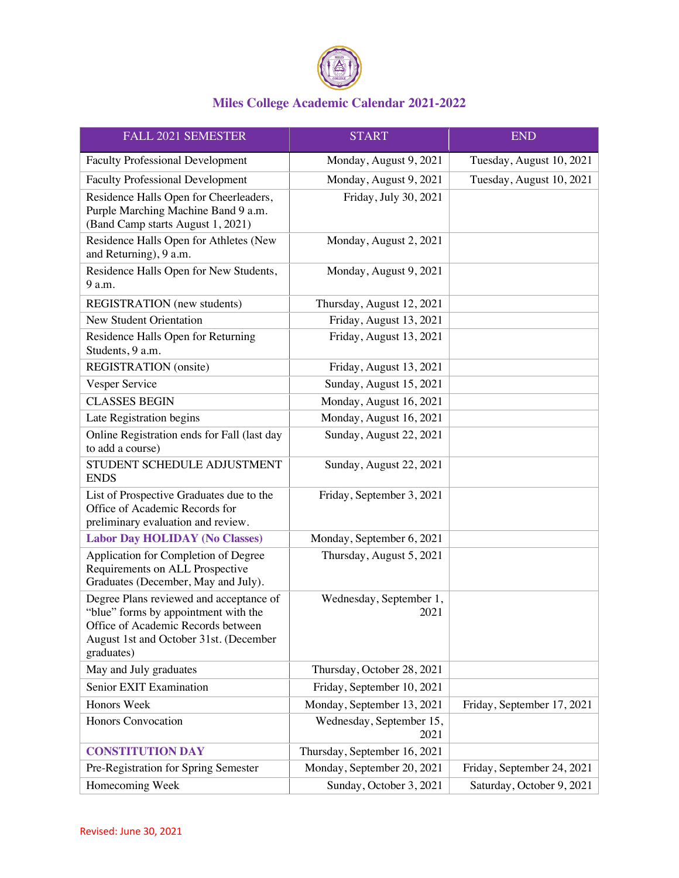

| FALL 2021 SEMESTER                                                                                                                                                            | <b>START</b>                     | <b>END</b>                 |
|-------------------------------------------------------------------------------------------------------------------------------------------------------------------------------|----------------------------------|----------------------------|
| <b>Faculty Professional Development</b>                                                                                                                                       | Monday, August 9, 2021           | Tuesday, August 10, 2021   |
| <b>Faculty Professional Development</b>                                                                                                                                       | Monday, August 9, 2021           | Tuesday, August 10, 2021   |
| Residence Halls Open for Cheerleaders,<br>Purple Marching Machine Band 9 a.m.<br>(Band Camp starts August 1, 2021)                                                            | Friday, July 30, 2021            |                            |
| Residence Halls Open for Athletes (New<br>and Returning), 9 a.m.                                                                                                              | Monday, August 2, 2021           |                            |
| Residence Halls Open for New Students,<br>9 a.m.                                                                                                                              | Monday, August 9, 2021           |                            |
| REGISTRATION (new students)                                                                                                                                                   | Thursday, August 12, 2021        |                            |
| <b>New Student Orientation</b>                                                                                                                                                | Friday, August 13, 2021          |                            |
| Residence Halls Open for Returning<br>Students, 9 a.m.                                                                                                                        | Friday, August 13, 2021          |                            |
| REGISTRATION (onsite)                                                                                                                                                         | Friday, August 13, 2021          |                            |
| Vesper Service                                                                                                                                                                | Sunday, August 15, 2021          |                            |
| <b>CLASSES BEGIN</b>                                                                                                                                                          | Monday, August 16, 2021          |                            |
| Late Registration begins                                                                                                                                                      | Monday, August 16, 2021          |                            |
| Online Registration ends for Fall (last day<br>to add a course)                                                                                                               | Sunday, August 22, 2021          |                            |
| STUDENT SCHEDULE ADJUSTMENT<br><b>ENDS</b>                                                                                                                                    | Sunday, August 22, 2021          |                            |
| List of Prospective Graduates due to the<br>Office of Academic Records for<br>preliminary evaluation and review.                                                              | Friday, September 3, 2021        |                            |
| <b>Labor Day HOLIDAY (No Classes)</b>                                                                                                                                         | Monday, September 6, 2021        |                            |
| Application for Completion of Degree<br>Requirements on ALL Prospective<br>Graduates (December, May and July).                                                                | Thursday, August 5, 2021         |                            |
| Degree Plans reviewed and acceptance of<br>"blue" forms by appointment with the<br>Office of Academic Records between<br>August 1st and October 31st. (December<br>graduates) | Wednesday, September 1,<br>2021  |                            |
| May and July graduates                                                                                                                                                        | Thursday, October 28, 2021       |                            |
| Senior EXIT Examination                                                                                                                                                       | Friday, September 10, 2021       |                            |
| Honors Week                                                                                                                                                                   | Monday, September 13, 2021       | Friday, September 17, 2021 |
| Honors Convocation                                                                                                                                                            | Wednesday, September 15,<br>2021 |                            |
| <b>CONSTITUTION DAY</b>                                                                                                                                                       | Thursday, September 16, 2021     |                            |
| Pre-Registration for Spring Semester                                                                                                                                          | Monday, September 20, 2021       | Friday, September 24, 2021 |
| Homecoming Week                                                                                                                                                               | Sunday, October 3, 2021          | Saturday, October 9, 2021  |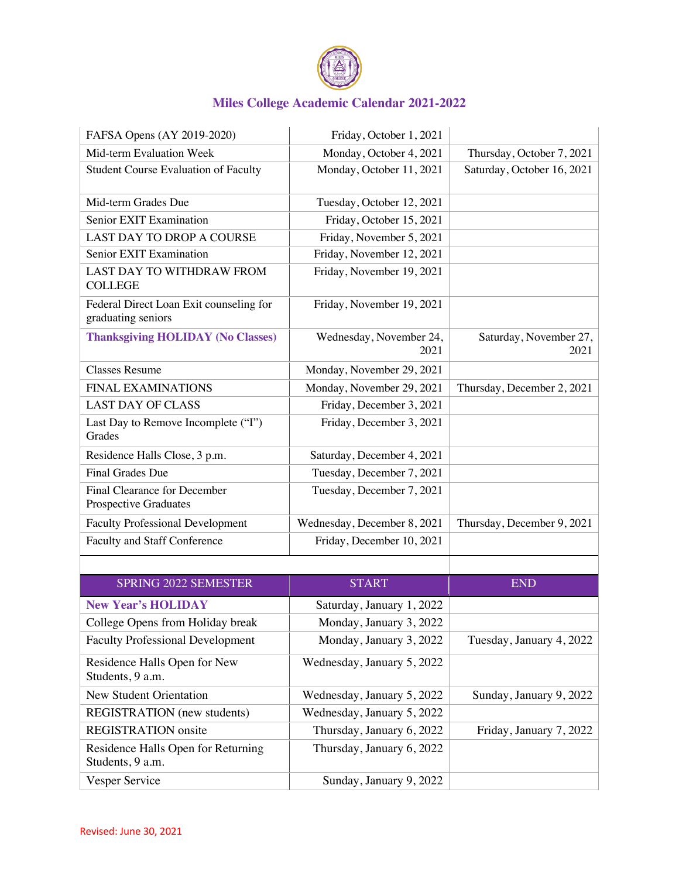

| FAFSA Opens (AY 2019-2020)                                    | Friday, October 1, 2021         |                                |
|---------------------------------------------------------------|---------------------------------|--------------------------------|
| Mid-term Evaluation Week                                      | Monday, October 4, 2021         | Thursday, October 7, 2021      |
| <b>Student Course Evaluation of Faculty</b>                   | Monday, October 11, 2021        | Saturday, October 16, 2021     |
| Mid-term Grades Due                                           | Tuesday, October 12, 2021       |                                |
| Senior EXIT Examination                                       | Friday, October 15, 2021        |                                |
| <b>LAST DAY TO DROP A COURSE</b>                              | Friday, November 5, 2021        |                                |
| Senior EXIT Examination                                       | Friday, November 12, 2021       |                                |
| <b>LAST DAY TO WITHDRAW FROM</b><br><b>COLLEGE</b>            | Friday, November 19, 2021       |                                |
| Federal Direct Loan Exit counseling for<br>graduating seniors | Friday, November 19, 2021       |                                |
| <b>Thanksgiving HOLIDAY (No Classes)</b>                      | Wednesday, November 24,<br>2021 | Saturday, November 27,<br>2021 |
| <b>Classes Resume</b>                                         | Monday, November 29, 2021       |                                |
| <b>FINAL EXAMINATIONS</b>                                     | Monday, November 29, 2021       | Thursday, December 2, 2021     |
| <b>LAST DAY OF CLASS</b>                                      | Friday, December 3, 2021        |                                |
| Last Day to Remove Incomplete ("I")<br>Grades                 | Friday, December 3, 2021        |                                |
| Residence Halls Close, 3 p.m.                                 | Saturday, December 4, 2021      |                                |
| <b>Final Grades Due</b>                                       | Tuesday, December 7, 2021       |                                |
| Final Clearance for December<br>Prospective Graduates         | Tuesday, December 7, 2021       |                                |
| <b>Faculty Professional Development</b>                       | Wednesday, December 8, 2021     | Thursday, December 9, 2021     |
| Faculty and Staff Conference                                  | Friday, December 10, 2021       |                                |
|                                                               |                                 |                                |

| <b>SPRING 2022 SEMESTER</b>                            | <b>START</b>               | <b>END</b>               |
|--------------------------------------------------------|----------------------------|--------------------------|
| <b>New Year's HOLIDAY</b>                              | Saturday, January 1, 2022  |                          |
| College Opens from Holiday break                       | Monday, January 3, 2022    |                          |
| <b>Faculty Professional Development</b>                | Monday, January 3, 2022    | Tuesday, January 4, 2022 |
| Residence Halls Open for New<br>Students, 9 a.m.       | Wednesday, January 5, 2022 |                          |
| New Student Orientation                                | Wednesday, January 5, 2022 | Sunday, January 9, 2022  |
| <b>REGISTRATION</b> (new students)                     | Wednesday, January 5, 2022 |                          |
| <b>REGISTRATION</b> onsite                             | Thursday, January 6, 2022  | Friday, January 7, 2022  |
| Residence Halls Open for Returning<br>Students, 9 a.m. | Thursday, January 6, 2022  |                          |
| Vesper Service                                         | Sunday, January 9, 2022    |                          |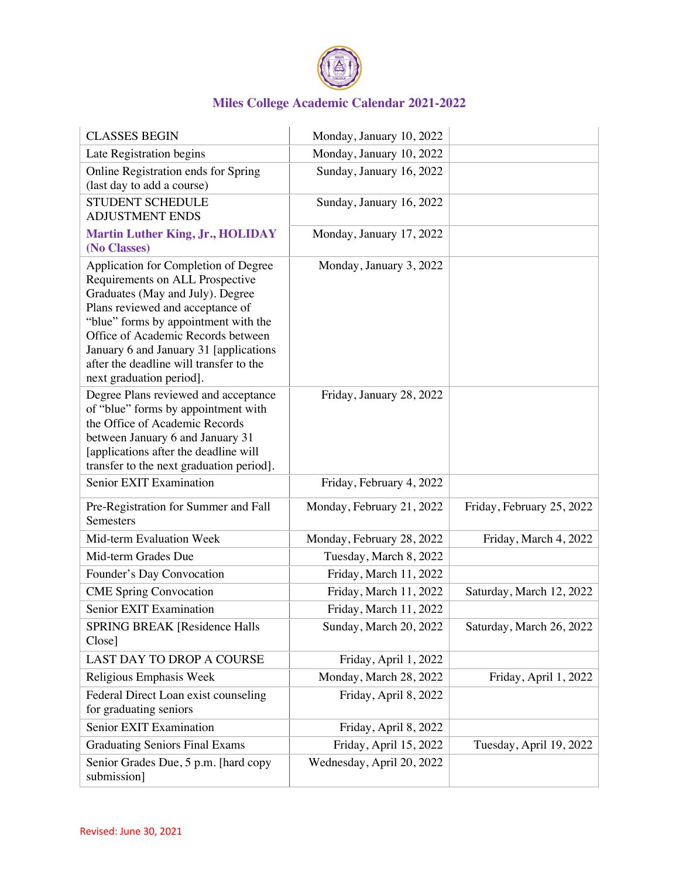

| <b>CLASSES BEGIN</b>                                                                                                                                                                                                                                                                                                                           | Monday, January 10, 2022  |                           |
|------------------------------------------------------------------------------------------------------------------------------------------------------------------------------------------------------------------------------------------------------------------------------------------------------------------------------------------------|---------------------------|---------------------------|
| Late Registration begins                                                                                                                                                                                                                                                                                                                       | Monday, January 10, 2022  |                           |
| Online Registration ends for Spring<br>(last day to add a course)                                                                                                                                                                                                                                                                              | Sunday, January 16, 2022  |                           |
| <b>STUDENT SCHEDULE</b><br><b>ADJUSTMENT ENDS</b>                                                                                                                                                                                                                                                                                              | Sunday, January 16, 2022  |                           |
| <b>Martin Luther King, Jr., HOLIDAY</b><br>(No Classes)                                                                                                                                                                                                                                                                                        | Monday, January 17, 2022  |                           |
| Application for Completion of Degree<br>Requirements on ALL Prospective<br>Graduates (May and July). Degree<br>Plans reviewed and acceptance of<br>"blue" forms by appointment with the<br>Office of Academic Records between<br>January 6 and January 31 [applications<br>after the deadline will transfer to the<br>next graduation period]. | Monday, January 3, 2022   |                           |
| Degree Plans reviewed and acceptance<br>of "blue" forms by appointment with<br>the Office of Academic Records<br>between January 6 and January 31<br>[applications after the deadline will<br>transfer to the next graduation period].                                                                                                         | Friday, January 28, 2022  |                           |
| Senior EXIT Examination                                                                                                                                                                                                                                                                                                                        | Friday, February 4, 2022  |                           |
| Pre-Registration for Summer and Fall<br>Semesters                                                                                                                                                                                                                                                                                              | Monday, February 21, 2022 | Friday, February 25, 2022 |
| Mid-term Evaluation Week                                                                                                                                                                                                                                                                                                                       | Monday, February 28, 2022 | Friday, March 4, 2022     |
| Mid-term Grades Due                                                                                                                                                                                                                                                                                                                            | Tuesday, March 8, 2022    |                           |
| Founder's Day Convocation                                                                                                                                                                                                                                                                                                                      | Friday, March 11, 2022    |                           |
| <b>CME Spring Convocation</b>                                                                                                                                                                                                                                                                                                                  | Friday, March 11, 2022    | Saturday, March 12, 2022  |
| Senior EXIT Examination                                                                                                                                                                                                                                                                                                                        | Friday, March 11, 2022    |                           |
| SPRING BREAK [Residence Halls<br>Close]                                                                                                                                                                                                                                                                                                        | Sunday, March 20, 2022    | Saturday, March 26, 2022  |
| LAST DAY TO DROP A COURSE                                                                                                                                                                                                                                                                                                                      | Friday, April 1, 2022     |                           |
| Religious Emphasis Week                                                                                                                                                                                                                                                                                                                        | Monday, March 28, 2022    | Friday, April 1, 2022     |
| Federal Direct Loan exist counseling<br>for graduating seniors                                                                                                                                                                                                                                                                                 | Friday, April 8, 2022     |                           |
| Senior EXIT Examination                                                                                                                                                                                                                                                                                                                        | Friday, April 8, 2022     |                           |
| <b>Graduating Seniors Final Exams</b>                                                                                                                                                                                                                                                                                                          | Friday, April 15, 2022    | Tuesday, April 19, 2022   |
| Senior Grades Due, 5 p.m. [hard copy<br>submission]                                                                                                                                                                                                                                                                                            | Wednesday, April 20, 2022 |                           |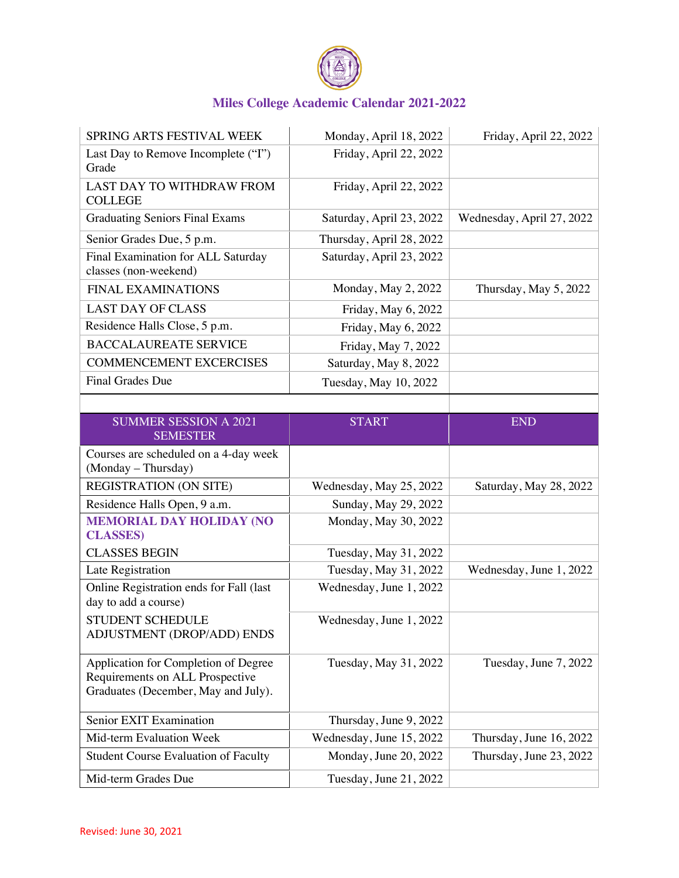

| SPRING ARTS FESTIVAL WEEK                                                                                      | Monday, April 18, 2022   | Friday, April 22, 2022    |
|----------------------------------------------------------------------------------------------------------------|--------------------------|---------------------------|
| Last Day to Remove Incomplete ("I")<br>Grade                                                                   | Friday, April 22, 2022   |                           |
| LAST DAY TO WITHDRAW FROM<br><b>COLLEGE</b>                                                                    | Friday, April 22, 2022   |                           |
| <b>Graduating Seniors Final Exams</b>                                                                          | Saturday, April 23, 2022 | Wednesday, April 27, 2022 |
| Senior Grades Due, 5 p.m.                                                                                      | Thursday, April 28, 2022 |                           |
| Final Examination for ALL Saturday<br>classes (non-weekend)                                                    | Saturday, April 23, 2022 |                           |
| <b>FINAL EXAMINATIONS</b>                                                                                      | Monday, May 2, 2022      | Thursday, May 5, 2022     |
| <b>LAST DAY OF CLASS</b>                                                                                       | Friday, May 6, 2022      |                           |
| Residence Halls Close, 5 p.m.                                                                                  | Friday, May 6, 2022      |                           |
| <b>BACCALAUREATE SERVICE</b>                                                                                   | Friday, May 7, 2022      |                           |
| <b>COMMENCEMENT EXCERCISES</b>                                                                                 | Saturday, May 8, 2022    |                           |
| <b>Final Grades Due</b>                                                                                        | Tuesday, May 10, 2022    |                           |
|                                                                                                                |                          |                           |
| <b>SUMMER SESSION A 2021</b><br><b>SEMESTER</b>                                                                | <b>START</b>             | <b>END</b>                |
| Courses are scheduled on a 4-day week                                                                          |                          |                           |
| (Monday - Thursday)                                                                                            |                          |                           |
| <b>REGISTRATION (ON SITE)</b>                                                                                  | Wednesday, May 25, 2022  | Saturday, May 28, 2022    |
| Residence Halls Open, 9 a.m.                                                                                   | Sunday, May 29, 2022     |                           |
| <b>MEMORIAL DAY HOLIDAY (NO</b><br><b>CLASSES</b> )                                                            | Monday, May 30, 2022     |                           |
| <b>CLASSES BEGIN</b>                                                                                           | Tuesday, May 31, 2022    |                           |
| Late Registration                                                                                              | Tuesday, May 31, 2022    | Wednesday, June 1, 2022   |
| Online Registration ends for Fall (last<br>day to add a course)                                                | Wednesday, June 1, 2022  |                           |
| STUDENT SCHEDULE<br>ADJUSTMENT (DROP/ADD) ENDS                                                                 | Wednesday, June 1, 2022  |                           |
| Application for Completion of Degree<br>Requirements on ALL Prospective<br>Graduates (December, May and July). | Tuesday, May 31, 2022    | Tuesday, June 7, 2022     |
| Senior EXIT Examination                                                                                        | Thursday, June 9, 2022   |                           |
| Mid-term Evaluation Week                                                                                       | Wednesday, June 15, 2022 | Thursday, June 16, 2022   |
| <b>Student Course Evaluation of Faculty</b>                                                                    | Monday, June 20, 2022    | Thursday, June 23, 2022   |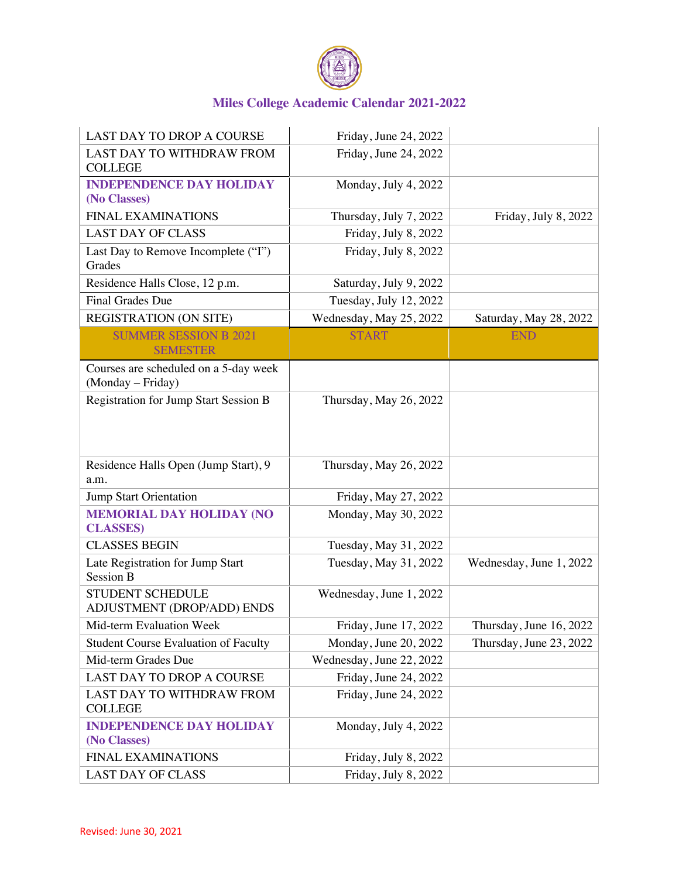

| LAST DAY TO DROP A COURSE                                  | Friday, June 24, 2022    |                         |
|------------------------------------------------------------|--------------------------|-------------------------|
| LAST DAY TO WITHDRAW FROM<br><b>COLLEGE</b>                | Friday, June 24, 2022    |                         |
| <b>INDEPENDENCE DAY HOLIDAY</b><br>(No Classes)            | Monday, July 4, 2022     |                         |
| <b>FINAL EXAMINATIONS</b>                                  | Thursday, July 7, 2022   | Friday, July 8, 2022    |
| <b>LAST DAY OF CLASS</b>                                   | Friday, July 8, 2022     |                         |
| Last Day to Remove Incomplete ("I")<br>Grades              | Friday, July 8, 2022     |                         |
| Residence Halls Close, 12 p.m.                             | Saturday, July 9, 2022   |                         |
| Final Grades Due                                           | Tuesday, July 12, 2022   |                         |
| <b>REGISTRATION (ON SITE)</b>                              | Wednesday, May 25, 2022  | Saturday, May 28, 2022  |
| <b>SUMMER SESSION B 2021</b><br><b>SEMESTER</b>            | <b>START</b>             | <b>END</b>              |
| Courses are scheduled on a 5-day week<br>(Monday - Friday) |                          |                         |
| Registration for Jump Start Session B                      | Thursday, May 26, 2022   |                         |
| Residence Halls Open (Jump Start), 9<br>a.m.               | Thursday, May 26, 2022   |                         |
| <b>Jump Start Orientation</b>                              | Friday, May 27, 2022     |                         |
| <b>MEMORIAL DAY HOLIDAY (NO</b><br><b>CLASSES</b> )        | Monday, May 30, 2022     |                         |
| <b>CLASSES BEGIN</b>                                       | Tuesday, May 31, 2022    |                         |
| Late Registration for Jump Start<br>Session B              | Tuesday, May 31, 2022    | Wednesday, June 1, 2022 |
| <b>STUDENT SCHEDULE</b><br>ADJUSTMENT (DROP/ADD) ENDS      | Wednesday, June 1, 2022  |                         |
| Mid-term Evaluation Week                                   | Friday, June 17, 2022    | Thursday, June 16, 2022 |
| <b>Student Course Evaluation of Faculty</b>                | Monday, June 20, 2022    | Thursday, June 23, 2022 |
| Mid-term Grades Due                                        | Wednesday, June 22, 2022 |                         |
| LAST DAY TO DROP A COURSE                                  | Friday, June 24, 2022    |                         |
| LAST DAY TO WITHDRAW FROM<br><b>COLLEGE</b>                | Friday, June 24, 2022    |                         |
| <b>INDEPENDENCE DAY HOLIDAY</b><br>(No Classes)            | Monday, July 4, 2022     |                         |
| <b>FINAL EXAMINATIONS</b>                                  | Friday, July 8, 2022     |                         |
| <b>LAST DAY OF CLASS</b>                                   | Friday, July 8, 2022     |                         |